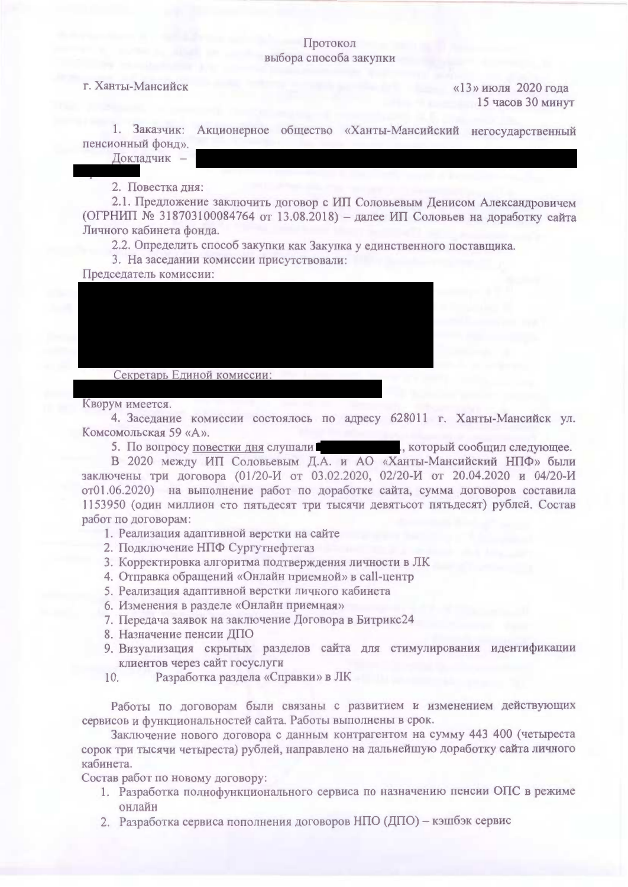## Протокол выбора способа закупки

## г. Ханты-Мансийск

«13» июля 2020 года 15 часов 30 минут

1. Заказчик: Акционерное общество «Ханты-Мансийский негосударственный пенсионный фонд».

Докладчик -

2. Повестка дня:

2.1. Предложение заключить договор с ИП Соловьевым Денисом Александровичем (ОГРНИП № 318703100084764 от 13.08.2018) - далее ИП Соловьев на доработку сайта Личного кабинета фонда.

2.2. Определить способ закупки как Закупка у единственного поставщика.

3. На заседании комиссии присутствовали:

Председатель комиссии:

Секретарь Единой комиссии:

Кворум имеется.

4. Заседание комиссии состоялось по адресу 628011 г. Ханты-Мансийск ул. Комсомольская 59 «А».

5. По вопросу повестки дня слушали в последних постоят сообщил следующее.

В 2020 между ИП Соловьевым Д.А. и АО «Ханты-Мансийский НПФ» были заключены три договора (01/20-И от 03.02.2020, 02/20-И от 20.04.2020 и 04/20-И от01.06.2020) на выполнение работ по доработке сайта, сумма договоров составила 1153950 (один миллион сто пятьдесят три тысячи девятьсот пятьдесят) рублей. Состав работ по договорам:

- 1. Реализация адаптивной верстки на сайте
- 2. Подключение НПФ Сургутнефтегаз
- 3. Корректировка алгоритма подтверждения личности в ЛК
- 4. Отправка обращений «Онлайн приемной» в call-центр
- 5. Реализация адаптивной верстки личного кабинета
- 6. Изменения в разделе «Онлайн приемная»
- 7. Передача заявок на заключение Договора в Битрикс24
- 8. Назначение пенсии ДПО
- 9. Визуализация скрытых разделов сайта для стимулирования идентификации клиентов через сайт госуслуги
- Разработка раздела «Справки» в ЛК 10.

Работы по договорам были связаны с развитием и изменением действующих сервисов и функциональностей сайта. Работы выполнены в срок.

Заключение нового договора с данным контрагентом на сумму 443 400 (четыреста сорок три тысячи четыреста) рублей, направлено на дальнейшую доработку сайта личного кабинета.

Состав работ по новому договору:

- 1. Разработка полнофункционального сервиса по назначению пенсии ОПС в режиме онлайн
- 2. Разработка сервиса пополнения договоров НПО (ДПО) кэшбэк сервис